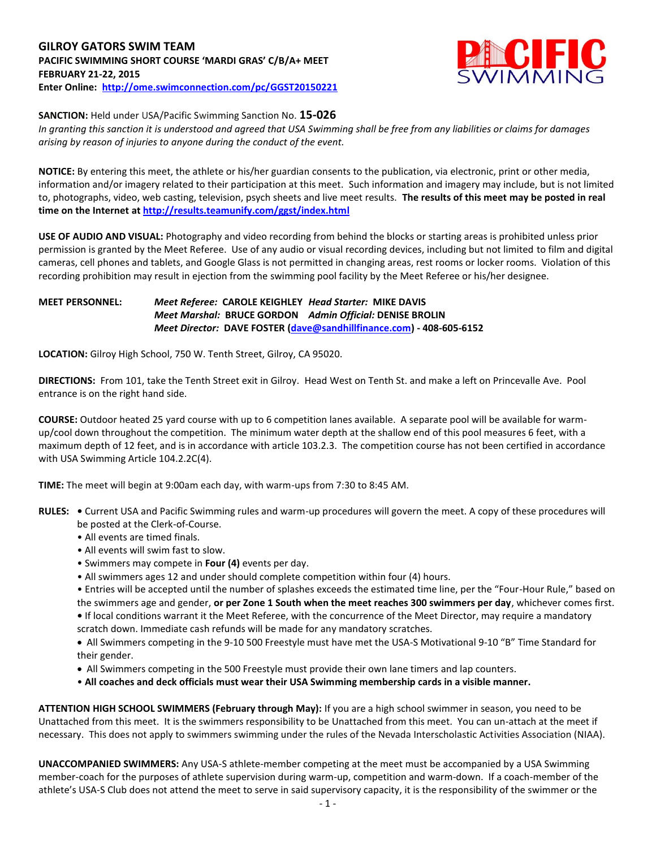## **GILROY GATORS SWIM TEAM PACIFIC SWIMMING SHORT COURSE 'MARDI GRAS' C/B/A+ MEET FEBRUARY 21-22, 2015 Enter Online: <http://ome.swimconnection.com/pc/GGST20150221>**



#### **SANCTION:** Held under USA/Pacific Swimming Sanction No. **15-026**

*In granting this sanction it is understood and agreed that USA Swimming shall be free from any liabilities or claims for damages arising by reason of injuries to anyone during the conduct of the event.*

**NOTICE:** By entering this meet, the athlete or his/her guardian consents to the publication, via electronic, print or other media, information and/or imagery related to their participation at this meet. Such information and imagery may include, but is not limited to, photographs, video, web casting, television, psych sheets and live meet results. **The results of this meet may be posted in real time on the Internet at <http://results.teamunify.com/ggst/index.html>**

**USE OF AUDIO AND VISUAL:** Photography and video recording from behind the blocks or starting areas is prohibited unless prior permission is granted by the Meet Referee. Use of any audio or visual recording devices, including but not limited to film and digital cameras, cell phones and tablets, and Google Glass is not permitted in changing areas, rest rooms or locker rooms. Violation of this recording prohibition may result in ejection from the swimming pool facility by the Meet Referee or his/her designee.

### **MEET PERSONNEL:** *Meet Referee:* **CAROLE KEIGHLEY** *Head Starter:* **MIKE DAVIS** *Meet Marshal:* **BRUCE GORDON** *Admin Official:* **DENISE BROLIN** *Meet Director:* **DAVE FOSTER [\(dave@sandhillfinance.com\)](mailto:dave@sandhillfinance.com) - 408-605-6152**

**LOCATION:** Gilroy High School, 750 W. Tenth Street, Gilroy, CA 95020.

**DIRECTIONS:** From 101, take the Tenth Street exit in Gilroy. Head West on Tenth St. and make a left on Princevalle Ave. Pool entrance is on the right hand side.

**COURSE:** Outdoor heated 25 yard course with up to 6 competition lanes available. A separate pool will be available for warmup/cool down throughout the competition. The minimum water depth at the shallow end of this pool measures 6 feet, with a maximum depth of 12 feet, and is in accordance with article 103.2.3. The competition course has not been certified in accordance with USA Swimming Article 104.2.2C(4).

**TIME:** The meet will begin at 9:00am each day, with warm-ups from 7:30 to 8:45 AM.

- **RULES:** Current USA and Pacific Swimming rules and warm-up procedures will govern the meet. A copy of these procedures will be posted at the Clerk-of-Course.
	- All events are timed finals.
	- All events will swim fast to slow.
	- Swimmers may compete in **Four (4)** events per day.
	- All swimmers ages 12 and under should complete competition within four (4) hours.

• Entries will be accepted until the number of splashes exceeds the estimated time line, per the "Four-Hour Rule," based on the swimmers age and gender, **or per Zone 1 South when the meet reaches 300 swimmers per day**, whichever comes first. **•** If local conditions warrant it the Meet Referee, with the concurrence of the Meet Director, may require a mandatory

scratch down. Immediate cash refunds will be made for any mandatory scratches. All Swimmers competing in the 9-10 500 Freestyle must have met the USA-S Motivational 9-10 "B" Time Standard for their gender.

- All Swimmers competing in the 500 Freestyle must provide their own lane timers and lap counters.
- **All coaches and deck officials must wear their USA Swimming membership cards in a visible manner.**

**ATTENTION HIGH SCHOOL SWIMMERS (February through May):** If you are a high school swimmer in season, you need to be Unattached from this meet. It is the swimmers responsibility to be Unattached from this meet. You can un-attach at the meet if necessary. This does not apply to swimmers swimming under the rules of the Nevada Interscholastic Activities Association (NIAA).

**UNACCOMPANIED SWIMMERS:** Any USA-S athlete-member competing at the meet must be accompanied by a USA Swimming member-coach for the purposes of athlete supervision during warm-up, competition and warm-down. If a coach-member of the athlete's USA-S Club does not attend the meet to serve in said supervisory capacity, it is the responsibility of the swimmer or the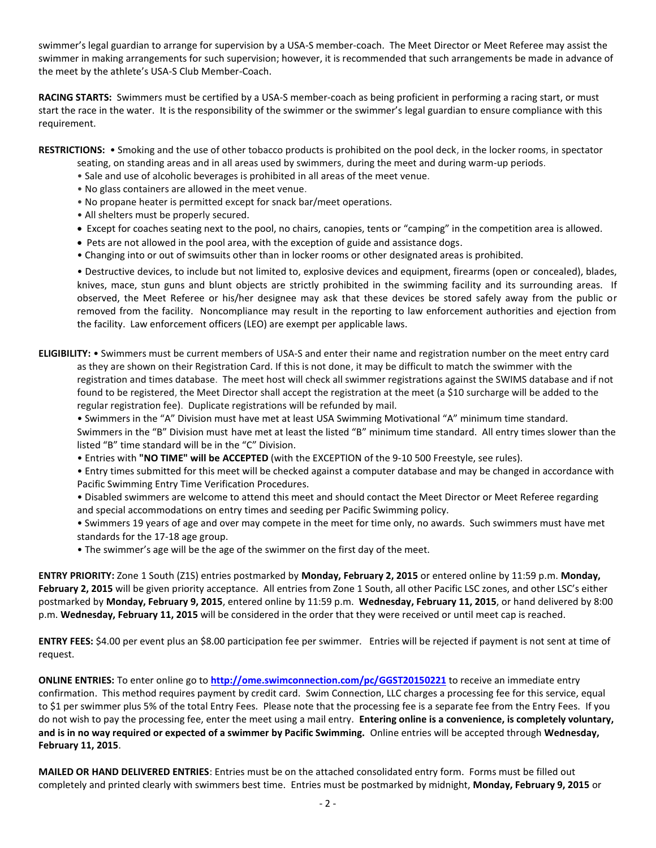swimmer's legal guardian to arrange for supervision by a USA-S member-coach. The Meet Director or Meet Referee may assist the swimmer in making arrangements for such supervision; however, it is recommended that such arrangements be made in advance of the meet by the athlete's USA-S Club Member-Coach.

**RACING STARTS:** Swimmers must be certified by a USA-S member-coach as being proficient in performing a racing start, or must start the race in the water. It is the responsibility of the swimmer or the swimmer's legal guardian to ensure compliance with this requirement.

**RESTRICTIONS:** • Smoking and the use of other tobacco products is prohibited on the pool deck, in the locker rooms, in spectator

- seating, on standing areas and in all areas used by swimmers, during the meet and during warm-up periods.
- Sale and use of alcoholic beverages is prohibited in all areas of the meet venue.
- No glass containers are allowed in the meet venue.
- No propane heater is permitted except for snack bar/meet operations.
- All shelters must be properly secured.
- Except for coaches seating next to the pool, no chairs, canopies, tents or "camping" in the competition area is allowed.
- Pets are not allowed in the pool area, with the exception of guide and assistance dogs.
- Changing into or out of swimsuits other than in locker rooms or other designated areas is prohibited.

• Destructive devices, to include but not limited to, explosive devices and equipment, firearms (open or concealed), blades, knives, mace, stun guns and blunt objects are strictly prohibited in the swimming facility and its surrounding areas. If observed, the Meet Referee or his/her designee may ask that these devices be stored safely away from the public or removed from the facility. Noncompliance may result in the reporting to law enforcement authorities and ejection from the facility. Law enforcement officers (LEO) are exempt per applicable laws.

**ELIGIBILITY:** • Swimmers must be current members of USA-S and enter their name and registration number on the meet entry card as they are shown on their Registration Card. If this is not done, it may be difficult to match the swimmer with the registration and times database. The meet host will check all swimmer registrations against the SWIMS database and if not found to be registered, the Meet Director shall accept the registration at the meet (a \$10 surcharge will be added to the regular registration fee). Duplicate registrations will be refunded by mail.

• Swimmers in the "A" Division must have met at least USA Swimming Motivational "A" minimum time standard. Swimmers in the "B" Division must have met at least the listed "B" minimum time standard. All entry times slower than the listed "B" time standard will be in the "C" Division.

• Entries with **"NO TIME" will be ACCEPTED** (with the EXCEPTION of the 9-10 500 Freestyle, see rules).

• Entry times submitted for this meet will be checked against a computer database and may be changed in accordance with Pacific Swimming Entry Time Verification Procedures.

• Disabled swimmers are welcome to attend this meet and should contact the Meet Director or Meet Referee regarding and special accommodations on entry times and seeding per Pacific Swimming policy.

- Swimmers 19 years of age and over may compete in the meet for time only, no awards. Such swimmers must have met standards for the 17-18 age group.
- The swimmer's age will be the age of the swimmer on the first day of the meet.

**ENTRY PRIORITY:** Zone 1 South (Z1S) entries postmarked by **Monday, February 2, 2015** or entered online by 11:59 p.m. **Monday,**  February 2, 2015 will be given priority acceptance. All entries from Zone 1 South, all other Pacific LSC zones, and other LSC's either postmarked by **Monday, February 9, 2015**, entered online by 11:59 p.m. **Wednesday, February 11, 2015**, or hand delivered by 8:00 p.m. **Wednesday, February 11, 2015** will be considered in the order that they were received or until meet cap is reached.

**ENTRY FEES:** \$4.00 per event plus an \$8.00 participation fee per swimmer. Entries will be rejected if payment is not sent at time of request.

**ONLINE ENTRIES:** To enter online go to **<http://ome.swimconnection.com/pc/GGST20150221>** to receive an immediate entry confirmation. This method requires payment by credit card. Swim Connection, LLC charges a processing fee for this service, equal to \$1 per swimmer plus 5% of the total Entry Fees. Please note that the processing fee is a separate fee from the Entry Fees. If you do not wish to pay the processing fee, enter the meet using a mail entry. **Entering online is a convenience, is completely voluntary, and is in no way required or expected of a swimmer by Pacific Swimming.** Online entries will be accepted through **Wednesday, February 11, 2015**.

**MAILED OR HAND DELIVERED ENTRIES**: Entries must be on the attached consolidated entry form. Forms must be filled out completely and printed clearly with swimmers best time. Entries must be postmarked by midnight, **Monday, February 9, 2015** or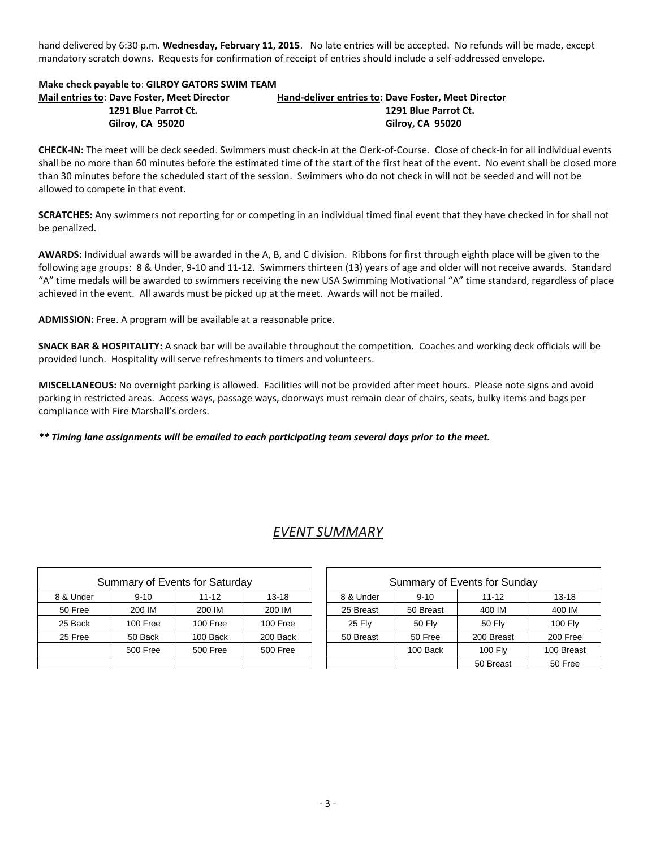hand delivered by 6:30 p.m. **Wednesday, February 11, 2015**. No late entries will be accepted. No refunds will be made, except mandatory scratch downs. Requests for confirmation of receipt of entries should include a self-addressed envelope.

### **Make check payable to**: **GILROY GATORS SWIM TEAM Mail entries to**: **Dave Foster, Meet Director Hand-deliver entries to: Dave Foster, Meet Director 1291 Blue Parrot Ct. 1291 Blue Parrot Ct. Gilroy, CA 95020 Gilroy, CA 95020**

**CHECK-IN:** The meet will be deck seeded. Swimmers must check-in at the Clerk-of-Course. Close of check-in for all individual events shall be no more than 60 minutes before the estimated time of the start of the first heat of the event. No event shall be closed more than 30 minutes before the scheduled start of the session. Swimmers who do not check in will not be seeded and will not be allowed to compete in that event.

**SCRATCHES:** Any swimmers not reporting for or competing in an individual timed final event that they have checked in for shall not be penalized.

**AWARDS:** Individual awards will be awarded in the A, B, and C division. Ribbons for first through eighth place will be given to the following age groups: 8 & Under, 9-10 and 11-12. Swimmers thirteen (13) years of age and older will not receive awards. Standard "A" time medals will be awarded to swimmers receiving the new USA Swimming Motivational "A" time standard, regardless of place achieved in the event. All awards must be picked up at the meet. Awards will not be mailed.

**ADMISSION:** Free. A program will be available at a reasonable price.

**SNACK BAR & HOSPITALITY:** A snack bar will be available throughout the competition. Coaches and working deck officials will be provided lunch. Hospitality will serve refreshments to timers and volunteers.

**MISCELLANEOUS:** No overnight parking is allowed. Facilities will not be provided after meet hours. Please note signs and avoid parking in restricted areas. Access ways, passage ways, doorways must remain clear of chairs, seats, bulky items and bags per compliance with Fire Marshall's orders.

*\*\* Timing lane assignments will be emailed to each participating team several days prior to the meet.*

# *EVENT SUMMARY*

|           |                 | Summary of Events for Saturday |          | Summary of Events for Sunday |               |                |           |  |  |
|-----------|-----------------|--------------------------------|----------|------------------------------|---------------|----------------|-----------|--|--|
| 8 & Under | $9 - 10$        | $11 - 12$                      | 13-18    | 8 & Under                    | $9 - 10$      | $11 - 12$      | $13 - 18$ |  |  |
| 50 Free   | 200 IM          | 200 IM                         | 200 IM   | 25 Breast                    | 50 Breast     | 400 IM         | 400 IN    |  |  |
| 25 Back   | 100 Free        | 100 Free                       | 100 Free | <b>25 Flv</b>                | <b>50 Flv</b> | 50 Flv         | 100 Fl    |  |  |
| 25 Free   | 50 Back         | 100 Back                       | 200 Back | 50 Breast                    | 50 Free       | 200 Breast     | 200 Fre   |  |  |
|           | <b>500 Free</b> | <b>500 Free</b>                | 500 Free |                              | 100 Back      | <b>100 Flv</b> | 100 Brea  |  |  |
|           |                 |                                |          |                              |               | 50 Breast      | 50 Fre    |  |  |

|         |          | Summary of Events for Saturday |                 | Summary of Events for Sunday |           |                |                |  |  |
|---------|----------|--------------------------------|-----------------|------------------------------|-----------|----------------|----------------|--|--|
| & Under | $9 - 10$ | $11 - 12$                      | $13 - 18$       | 8 & Under                    | $9 - 10$  | $11 - 12$      | $13 - 18$      |  |  |
| 50 Free | 200 IM   | 200 IM                         | 200 IM          | 25 Breast                    | 50 Breast | 400 IM         | 400 IM         |  |  |
| 25 Back | 100 Free | 100 Free                       | 100 Free        | 25 Fly                       | 50 Flv    | 50 Flv         | <b>100 Fly</b> |  |  |
| 25 Free | 50 Back  | 100 Back                       | 200 Back        | 50 Breast                    | 50 Free   | 200 Breast     | 200 Free       |  |  |
|         | 500 Free | <b>500 Free</b>                | <b>500 Free</b> |                              | 100 Back  | <b>100 Flv</b> | 100 Breast     |  |  |
|         |          |                                |                 |                              |           | 50 Breast      | 50 Free        |  |  |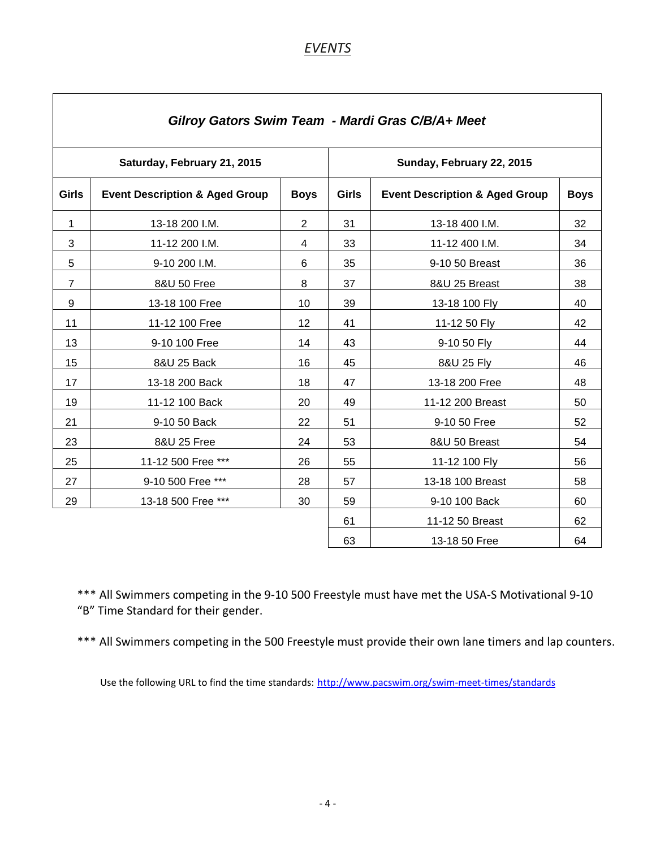# *EVENTS*

| Gilroy Gators Swim Team - Mardi Gras C/B/A+ Meet |                                           |                           |              |                                           |             |  |  |  |  |  |  |
|--------------------------------------------------|-------------------------------------------|---------------------------|--------------|-------------------------------------------|-------------|--|--|--|--|--|--|
|                                                  | Saturday, February 21, 2015               | Sunday, February 22, 2015 |              |                                           |             |  |  |  |  |  |  |
| <b>Girls</b>                                     | <b>Event Description &amp; Aged Group</b> | <b>Boys</b>               | <b>Girls</b> | <b>Event Description &amp; Aged Group</b> | <b>Boys</b> |  |  |  |  |  |  |
| $\mathbf{1}$                                     | 13-18 200 I.M.                            | $\overline{2}$            | 31           | 13-18 400 I.M.                            | 32          |  |  |  |  |  |  |
| 3                                                | 11-12 200 I.M.                            | 4                         | 33           | 11-12 400 I.M.                            | 34          |  |  |  |  |  |  |
| 5                                                | 9-10 200 I.M.                             | 6                         | 35           | 9-10 50 Breast                            | 36          |  |  |  |  |  |  |
| $\overline{7}$                                   | 8&U 50 Free                               | 8                         | 37           | 8&U 25 Breast                             | 38          |  |  |  |  |  |  |
| 9                                                | 13-18 100 Free                            | 10                        | 39           | 13-18 100 Fly                             | 40          |  |  |  |  |  |  |
| 11                                               | 11-12 100 Free                            | 12                        | 41           | 11-12 50 Fly                              | 42          |  |  |  |  |  |  |
| 13                                               | 9-10 100 Free                             | 14                        | 43           | 9-10 50 Fly                               | 44          |  |  |  |  |  |  |
| 15                                               | 8&U 25 Back                               | 16                        | 45           | 8&U 25 Fly                                | 46          |  |  |  |  |  |  |
| 17                                               | 13-18 200 Back                            | 18                        | 47           | 13-18 200 Free                            | 48          |  |  |  |  |  |  |
| 19                                               | 11-12 100 Back                            | 20                        | 49           | 11-12 200 Breast                          | 50          |  |  |  |  |  |  |
| 21                                               | 9-10 50 Back                              | 22                        | 51           | 9-10 50 Free                              | 52          |  |  |  |  |  |  |
| 23                                               | 8&U 25 Free                               | 24                        | 53           | 8&U 50 Breast                             | 54          |  |  |  |  |  |  |
| 25                                               | 11-12 500 Free ***                        | 26                        | 55           | 11-12 100 Fly                             | 56          |  |  |  |  |  |  |
| 27                                               | 9-10 500 Free ***                         | 28                        | 57           | 13-18 100 Breast                          | 58          |  |  |  |  |  |  |
| 29                                               | 13-18 500 Free ***                        | 30                        | 59           | 9-10 100 Back                             | 60          |  |  |  |  |  |  |
|                                                  |                                           |                           | 61           | 11-12 50 Breast                           | 62          |  |  |  |  |  |  |
|                                                  |                                           |                           | 63           | 13-18 50 Free                             | 64          |  |  |  |  |  |  |

\*\*\* All Swimmers competing in the 9-10 500 Freestyle must have met the USA-S Motivational 9-10 "B" Time Standard for their gender.

\*\*\* All Swimmers competing in the 500 Freestyle must provide their own lane timers and lap counters.

Use the following URL to find the time standards: <http://www.pacswim.org/swim-meet-times/standards>